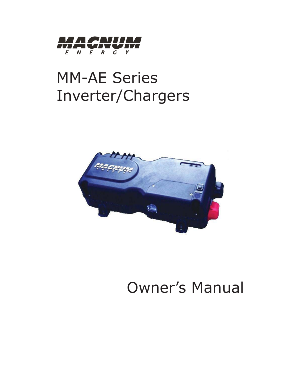

# MM-AE Series Inverter/Chargers



# Owner's Manual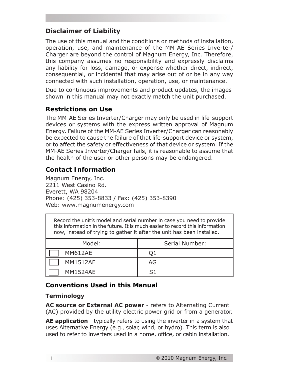# **Disclaimer of Liability**

The use of this manual and the conditions or methods of installation, operation, use, and maintenance of the MM-AE Series Inverter/ Charger are beyond the control of Magnum Energy, Inc. Therefore, this company assumes no responsibility and expressly disclaims any liability for loss, damage, or expense whether direct, indirect, consequential, or incidental that may arise out of or be in any way connected with such installation, operation, use, or maintenance.

Due to continuous improvements and product updates, the images shown in this manual may not exactly match the unit purchased.

# **Restrictions on Use**

The MM-AE Series Inverter/Charger may only be used in life-support devices or systems with the express written approval of Magnum Energy. Failure of the MM-AE Series Inverter/Charger can reasonably be expected to cause the failure of that life-support device or system, or to affect the safety or effectiveness of that device or system. If the MM-AE Series Inverter/Charger fails, it is reasonable to assume that the health of the user or other persons may be endangered.

## **Contact Information**

Magnum Energy, Inc. 2211 West Casino Rd. Everett, WA 98204 Phone: (425) 353-8833 / Fax: (425) 353-8390 Web: www.magnumenergy.com

Record the unit's model and serial number in case you need to provide this information in the future. It is much easier to record this information now, instead of trying to gather it after the unit has been installed.

| Model:          | Serial Number: |  |
|-----------------|----------------|--|
| <b>MM612AE</b>  | Q1             |  |
| <b>MM1512AE</b> | AG             |  |
| <b>MM1524AE</b> | 51             |  |

#### **Conventions Used in this Manual**

#### **Terminology**

**AC source or External AC power** - refers to Alternating Current (AC) provided by the utility electric power grid or from a generator.

**AE application** - typically refers to using the inverter in a system that uses Alternative Energy (e.g., solar, wind, or hydro). This term is also used to refer to inverters used in a home, office, or cabin installation.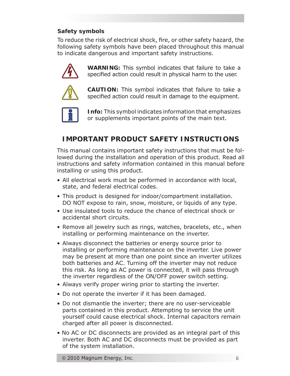## **Safety symbols**

To reduce the risk of electrical shock, fire, or other safety hazard, the following safety symbols have been placed throughout this manual to indicate dangerous and important safety instructions.



**WARNING:** This symbol indicates that failure to take a specified action could result in physical harm to the user.



**CAUTION:** This symbol indicates that failure to take a specified action could result in damage to the equipment.



**Info:** This symbol indicates information that emphasizes or supplements important points of the main text.

# **IMPORTANT PRODUCT SAFETY INSTRUCTIONS**

This manual contains important safety instructions that must be followed during the installation and operation of this product. Read all instructions and safety information contained in this manual before installing or using this product.

- All electrical work must be performed in accordance with local, state, and federal electrical codes.
- This product is designed for indoor/compartment installation. DO NOT expose to rain, snow, moisture, or liquids of any type.
- Use insulated tools to reduce the chance of electrical shock or accidental short circuits.
- Remove all jewelry such as rings, watches, bracelets, etc., when installing or performing maintenance on the inverter.
- Always disconnect the batteries or energy source prior to installing or performing maintenance on the inverter. Live power may be present at more than one point since an inverter utilizes both batteries and AC. Turning off the inverter may not reduce this risk. As long as AC power is connected, it will pass through the inverter regardless of the ON/OFF power switch setting.
- Always verify proper wiring prior to starting the inverter.
- Do not operate the inverter if it has been damaged.
- Do not dismantle the inverter; there are no user-serviceable parts contained in this product. Attempting to service the unit yourself could cause electrical shock. Internal capacitors remain charged after all power is disconnected.
- No AC or DC disconnects are provided as an integral part of this inverter. Both AC and DC disconnects must be provided as part of the system installation.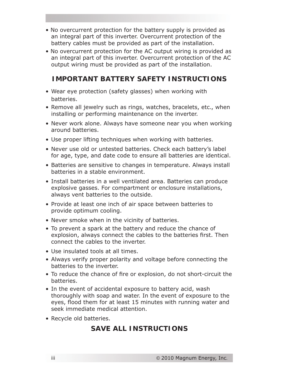- No overcurrent protection for the battery supply is provided as an integral part of this inverter. Overcurrent protection of the battery cables must be provided as part of the installation.
- No overcurrent protection for the AC output wiring is provided as an integral part of this inverter. Overcurrent protection of the AC output wiring must be provided as part of the installation.

# **IMPORTANT BATTERY SAFETY INSTRUCTIONS**

- Wear eye protection (safety glasses) when working with batteries.
- Remove all jewelry such as rings, watches, bracelets, etc., when installing or performing maintenance on the inverter.
- Never work alone. Always have someone near you when working around batteries.
- Use proper lifting techniques when working with batteries.
- Never use old or untested batteries. Check each battery's label for age, type, and date code to ensure all batteries are identical.
- Batteries are sensitive to changes in temperature. Always install batteries in a stable environment.
- Install batteries in a well ventilated area. Batteries can produce explosive gasses. For compartment or enclosure installations, always vent batteries to the outside.
- Provide at least one inch of air space between batteries to provide optimum cooling.
- Never smoke when in the vicinity of batteries.
- To prevent a spark at the battery and reduce the chance of explosion, always connect the cables to the batteries first. Then connect the cables to the inverter.
- Use insulated tools at all times.
- Always verify proper polarity and voltage before connecting the batteries to the inverter.
- To reduce the chance of fire or explosion, do not short-circuit the batteries.
- In the event of accidental exposure to battery acid, wash thoroughly with soap and water. In the event of exposure to the eyes, flood them for at least 15 minutes with running water and seek immediate medical attention.
- Recycle old batteries.

# **SAVE ALL INSTRUCTIONS**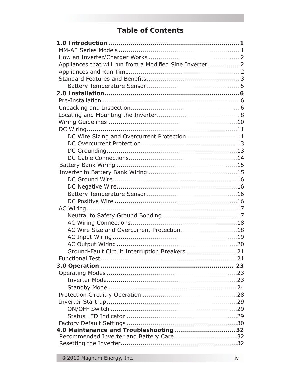# **Table of Contents**

| Appliances that will run from a Modified Sine Inverter  2 |  |
|-----------------------------------------------------------|--|
|                                                           |  |
|                                                           |  |
|                                                           |  |
|                                                           |  |
|                                                           |  |
|                                                           |  |
|                                                           |  |
|                                                           |  |
|                                                           |  |
| DC Wire Sizing and Overcurrent Protection 11              |  |
|                                                           |  |
|                                                           |  |
|                                                           |  |
|                                                           |  |
|                                                           |  |
|                                                           |  |
|                                                           |  |
|                                                           |  |
|                                                           |  |
|                                                           |  |
|                                                           |  |
|                                                           |  |
| AC Wire Size and Overcurrent Protection18                 |  |
|                                                           |  |
|                                                           |  |
| Ground-Fault Circuit Interruption Breakers 21             |  |
|                                                           |  |
|                                                           |  |
|                                                           |  |
|                                                           |  |
|                                                           |  |
|                                                           |  |
|                                                           |  |
|                                                           |  |
|                                                           |  |
|                                                           |  |
| 4.0 Maintenance and Troubleshooting32                     |  |
| Recommended Inverter and Battery Care 32                  |  |
|                                                           |  |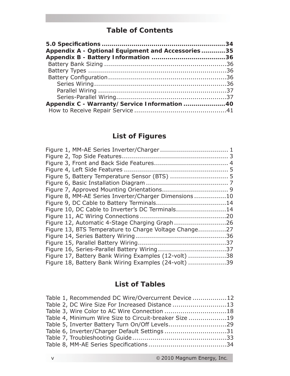# **Table of Contents**

| Appendix A - Optional Equipment and Accessories35 |  |
|---------------------------------------------------|--|
|                                                   |  |
|                                                   |  |
|                                                   |  |
|                                                   |  |
|                                                   |  |
|                                                   |  |
|                                                   |  |
| Appendix C - Warranty/Service Information 40      |  |
|                                                   |  |

# **List of Figures**

| Figure 5, Battery Temperature Sensor (BTS)  5         |  |
|-------------------------------------------------------|--|
|                                                       |  |
|                                                       |  |
| Figure 8, MM-AE Series Inverter/Charger Dimensions10  |  |
|                                                       |  |
| Figure 10, DC Cable to Inverter's DC Terminals14      |  |
|                                                       |  |
| Figure 12, Automatic 4-Stage Charging Graph26         |  |
| Figure 13, BTS Temperature to Charge Voltage Change27 |  |
|                                                       |  |
|                                                       |  |
|                                                       |  |
| Figure 17, Battery Bank Wiring Examples (12-volt) 38  |  |
| Figure 18, Battery Bank Wiring Examples (24-volt) 39  |  |

# **List of Tables**

| Table 1, Recommended DC Wire/Overcurrent Device 12    |  |
|-------------------------------------------------------|--|
| Table 2, DC Wire Size For Increased Distance13        |  |
| Table 3, Wire Color to AC Wire Connection 18          |  |
| Table 4, Minimum Wire Size to Circuit-breaker Size 19 |  |
|                                                       |  |
| Table 6, Inverter/Charger Default Settings31          |  |
|                                                       |  |
|                                                       |  |
|                                                       |  |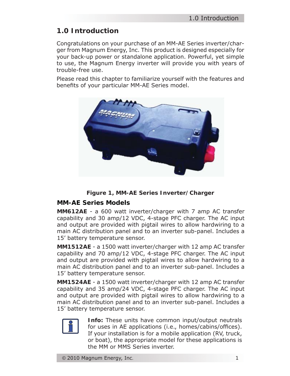# **1.0 Introduction**

Congratulations on your purchase of an MM-AE Series inverter/charger from Magnum Energy, Inc. This product is designed especially for your back-up power or standalone application. Powerful, yet simple to use, the Magnum Energy inverter will provide you with years of trouble-free use.

Please read this chapter to familiarize yourself with the features and benefits of your particular MM-AE Series model.



*Figure 1, MM-AE Series Inverter/Charger*

# **MM-AE Series Models**

**MM612AE** - a 600 watt inverter/charger with 7 amp AC transfer capability and 30 amp/12 VDC, 4-stage PFC charger. The AC input and output are provided with pigtail wires to allow hardwiring to a main AC distribution panel and to an inverter sub-panel. Includes a 15' battery temperature sensor.

**MM1512AE** - a 1500 watt inverter/charger with 12 amp AC transfer capability and 70 amp/12 VDC, 4-stage PFC charger. The AC input and output are provided with pigtail wires to allow hardwiring to a main AC distribution panel and to an inverter sub-panel. Includes a 15' battery temperature sensor.

**MM1524AE** - a 1500 watt inverter/charger with 12 amp AC transfer capability and 35 amp/24 VDC, 4-stage PFC charger. The AC input and output are provided with pigtail wires to allow hardwiring to a main AC distribution panel and to an inverter sub-panel. Includes a 15' battery temperature sensor.



**Info:** These units have common input/output neutrals for uses in AE applications (i.e., homes/cabins/offices). If your installation is for a mobile application (RV, truck, or boat), the appropriate model for these applications is the MM or MMS Series inverter.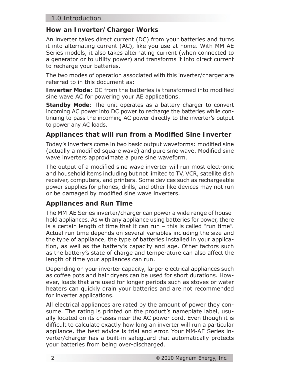## 1.0 Introduction

## **How an Inverter/Charger Works**

An inverter takes direct current (DC) from your batteries and turns it into alternating current (AC), like you use at home. With MM-AE Series models, it also takes alternating current (when connected to a generator or to utility power) and transforms it into direct current to recharge your batteries.

The two modes of operation associated with this inverter/charger are referred to in this document as:

**Inverter Mode:** DC from the batteries is transformed into modified sine wave AC for powering your AE applications.

**Standby Mode**: The unit operates as a battery charger to convert incoming AC power into DC power to recharge the batteries while continuing to pass the incoming AC power directly to the inverter's output to power any AC loads.

#### Appliances that will run from a Modified Sine Inverter

Today's inverters come in two basic output waveforms: modified sine (actually a modified square wave) and pure sine wave. Modified sine wave inverters approximate a pure sine waveform.

The output of a modified sine wave inverter will run most electronic and household items including but not limited to TV, VCR, satellite dish receiver, computers, and printers. Some devices such as rechargeable power supplies for phones, drills, and other like devices may not run or be damaged by modified sine wave inverters.

# **Appliances and Run Time**

The MM-AE Series inverter/charger can power a wide range of household appliances. As with any appliance using batteries for power, there is a certain length of time that it can run – this is called "run time". Actual run time depends on several variables including the size and the type of appliance, the type of batteries installed in your application, as well as the battery's capacity and age. Other factors such as the battery's state of charge and temperature can also affect the length of time your appliances can run.

Depending on your inverter capacity, larger electrical appliances such as coffee pots and hair dryers can be used for short durations. However, loads that are used for longer periods such as stoves or water heaters can quickly drain your batteries and are not recommended for inverter applications.

All electrical appliances are rated by the amount of power they consume. The rating is printed on the product's nameplate label, usually located on its chassis near the AC power cord. Even though it is difficult to calculate exactly how long an inverter will run a particular appliance, the best advice is trial and error. Your MM-AE Series inverter/charger has a built-in safeguard that automatically protects your batteries from being over-discharged.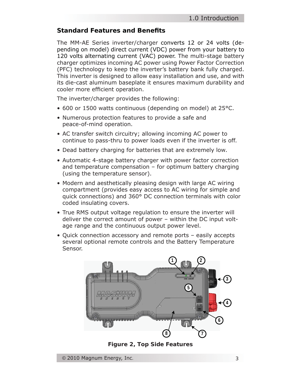# **Standard Features and Benefi ts**

The MM-AE Series inverter/charger converts 12 or 24 volts (depending on model) direct current (VDC) power from your battery to 120 volts alternating current (VAC) power. The multi-stage battery charger optimizes incoming AC power using Power Factor Correction (PFC) technology to keep the inverter's battery bank fully charged. This inverter is designed to allow easy installation and use, and with its die-cast aluminum baseplate it ensures maximum durability and cooler more efficient operation.

The inverter/charger provides the following:

- 600 or 1500 watts continuous (depending on model) at 25°C.
- Numerous protection features to provide a safe and peace-of-mind operation.
- AC transfer switch circuitry; allowing incoming AC power to continue to pass-thru to power loads even if the inverter is off.
- Dead battery charging for batteries that are extremely low.
- Automatic 4-stage battery charger with power factor correction and temperature compensation – for optimum battery charging (using the temperature sensor).
- Modern and aesthetically pleasing design with large AC wiring compartment (provides easy access to AC wiring for simple and quick connections) and 360° DC connection terminals with color coded insulating covers.
- True RMS output voltage regulation to ensure the inverter will deliver the correct amount of power – within the DC input volt age range and the continuous output power level.
- Quick connection accessory and remote ports easily accepts several optional remote controls and the Battery Temperature Sensor.



*Figure 2, Top Side Features*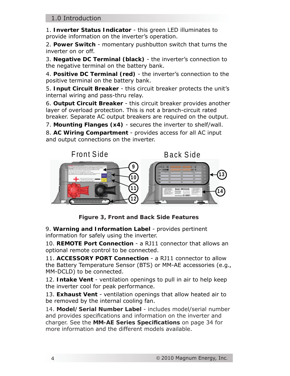1. **Inverter Status Indicator** - this green LED illuminates to provide information on the inverter's operation.

2. **Power Switch** - momentary pushbutton switch that turns the inverter on or off.

3. **Negative DC Terminal (black)** - the inverter's connection to the negative terminal on the battery bank.

4. **Positive DC Terminal (red)** - the inverter's connection to the positive terminal on the battery bank.

5. **Input Circuit Breaker** - this circuit breaker protects the unit's internal wiring and pass-thru relay.

6. **Output Circuit Breaker** - this circuit breaker provides another layer of overload protection. This is not a branch-circuit rated breaker. Separate AC output breakers are required on the output.

7. **Mounting Flanges (x4)** - secures the inverter to shelf/wall.

8. **AC Wiring Compartment** - provides access for all AC input and output connections on the inverter.



*Figure 3, Front and Back Side Features*

9. **Warning and Information Label** - provides pertinent information for safely using the inverter.

10. **REMOTE Port Connection** - a RJ11 connector that allows an optional remote control to be connected.

11. **ACCESSORY PORT Connection** - a RJ11 connector to allow the Battery Temperature Sensor (BTS) or MM-AE accessories (e.g., MM-DCLD) to be connected.

12. **Intake Vent** - ventilation openings to pull in air to help keep the inverter cool for peak performance.

13. **Exhaust Vent** - ventilation openings that allow heated air to be removed by the internal cooling fan.

14. **Model/Serial Number Label** - includes model/serial number and provides specifications and information on the inverter and charger. See the **MM-AE Series Specifi cations** on page 34 for more information and the different models available.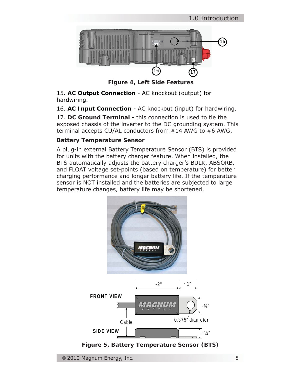

*Figure 4, Left Side Features*

15. **AC Output Connection** - AC knockout (output) for hardwiring.

16. **AC Input Connection** - AC knockout (input) for hardwiring.

17. **DC Ground Terminal** - this connection is used to tie the exposed chassis of the inverter to the DC grounding system. This terminal accepts CU/AL conductors from #14 AWG to #6 AWG.

#### **Battery Temperature Sensor**

A plug-in external Battery Temperature Sensor (BTS) is provided for units with the battery charger feature. When installed, the BTS automatically adjusts the battery charger's BULK, ABSORB, and FLOAT voltage set-points (based on temperature) for better charging performance and longer battery life. If the temperature sensor is NOT installed and the batteries are subjected to large temperature changes, battery life may be shortened.



*Figure 5, Battery Temperature Sensor (BTS)*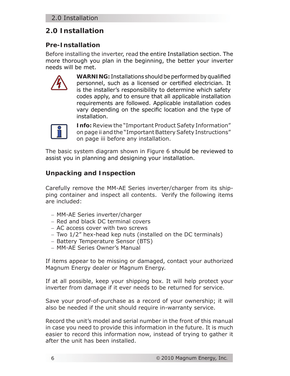# **2.0 Installation**

# **Pre-Installation**

Before installing the inverter, read the entire Installation section. The more thorough you plan in the beginning, the better your inverter needs will be met.



**WARNING:** Installations should be performed by qualified personnel, such as a licensed or certified electrician. It is the installer's responsibility to determine which safety codes apply, and to ensure that all applicable installation requirements are followed. Applicable installation codes vary depending on the specific location and the type of installation.



**Info:** Review the "Important Product Safety Information" on page ii and the "Important Battery Safety Instructions" on page iii before any installation.

The basic system diagram shown in Figure 6 should be reviewed to assist you in planning and designing your installation.

# **Unpacking and Inspection**

Carefully remove the MM-AE Series inverter/charger from its shipping container and inspect all contents. Verify the following items are included:

- − MM-AE Series inverter/charger
- − Red and black DC terminal covers
- − AC access cover with two screws
- − Two 1/2" hex-head kep nuts (installed on the DC terminals)
- − Battery Temperature Sensor (BTS)
- − MM-AE Series Owner's Manual

If items appear to be missing or damaged, contact your authorized Magnum Energy dealer or Magnum Energy.

If at all possible, keep your shipping box. It will help protect your inverter from damage if it ever needs to be returned for service.

Save your proof-of-purchase as a record of your ownership; it will also be needed if the unit should require in-warranty service.

Record the unit's model and serial number in the front of this manual in case you need to provide this information in the future. It is much easier to record this information now, instead of trying to gather it after the unit has been installed.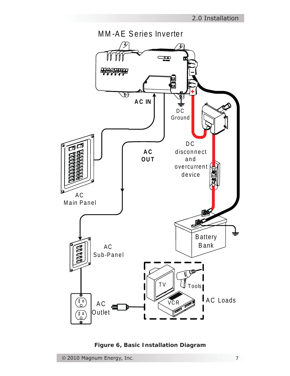

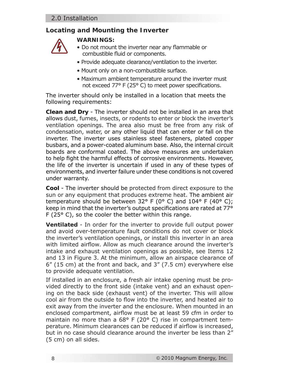# **Locating and Mounting the Inverter**



#### **WARNINGS:**

- Do not mount the inverter near any flammable or combustible fluid or components.
- Provide adequate clearance/ventilation to the inverter.
- Mount only on a non-combustible surface.
- Maximum ambient temperature around the inverter must not exceed  $77^{\circ}$  F (25 $^{\circ}$  C) to meet power specifications.

The inverter should only be installed in a location that meets the following requirements:

**Clean and Dry** - The inverter should not be installed in an area that allows dust, fumes, insects, or rodents to enter or block the inverter's ventilation openings. The area also must be free from any risk of condensation, water, or any other liquid that can enter or fall on the inverter. The inverter uses stainless steel fasteners, plated copper busbars, and a power-coated aluminum base. Also, the internal circuit boards are conformal coated. The above measures are undertaken to help fight the harmful effects of corrosive environments. However, the life of the inverter is uncertain if used in any of these types of environments, and inverter failure under these conditions is not covered under warranty.

**Cool** - The inverter should be protected from direct exposure to the sun or any equipment that produces extreme heat. The ambient air temperature should be between 32° F (0° C) and 104° F (40° C); keep in mind that the inverter's output specifications are rated at 77° F (25° C), so the cooler the better within this range.

**Ventilated** - In order for the inverter to provide full output power and avoid over-temperature fault conditions do not cover or block the inverter's ventilation openings, or install this inverter in an area with limited airflow. Allow as much clearance around the inverter's intake and exhaust ventilation openings as possible, see Items 12 and 13 in Figure 3. At the minimum, allow an airspace clearance of 6" (15 cm) at the front and back, and 3" (7.5 cm) everywhere else to provide adequate ventilation.

If installed in an enclosure, a fresh air intake opening must be provided directly to the front side (intake vent) and an exhaust opening on the back side (exhaust vent) of the inverter. This will allow cool air from the outside to flow into the inverter, and heated air to exit away from the inverter and the enclosure. When mounted in an enclosed compartment, airflow must be at least 59 cfm in order to maintain no more than a 68° F (20° C) rise in compartment temperature. Minimum clearances can be reduced if airflow is increased, but in no case should clearance around the inverter be less than 2" (5 cm) on all sides.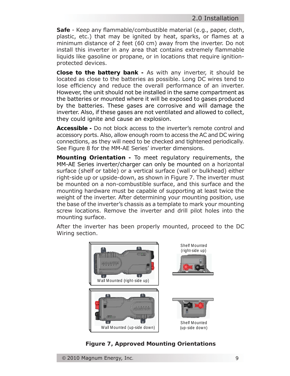**Safe** - Keep any flammable/combustible material (e.g., paper, cloth, plastic, etc.) that may be ignited by heat, sparks, or flames at a minimum distance of 2 feet (60 cm) away from the inverter. Do not install this inverter in any area that contains extremely flammable liquids like gasoline or propane, or in locations that require ignitionprotected devices.

**Close to the battery bank -** As with any inverter, it should be located as close to the batteries as possible. Long DC wires tend to lose efficiency and reduce the overall performance of an inverter. However, the unit should not be installed in the same compartment as the batteries or mounted where it will be exposed to gases produced by the batteries. These gases are corrosive and will damage the inverter. Also, if these gases are not ventilated and allowed to collect, they could ignite and cause an explosion.

**Accessible -** Do not block access to the inverter's remote control and accessory ports. Also, allow enough room to access the AC and DC wiring connections, as they will need to be checked and tightened periodically. See Figure 8 for the MM-AE Series' inverter dimensions.

**Mounting Orientation -** To meet regulatory requirements, the MM-AE Series inverter/charger can only be mounted on a horizontal surface (shelf or table) or a vertical surface (wall or bulkhead) either right-side up or upside-down, as shown in Figure 7. The inverter must be mounted on a non-combustible surface, and this surface and the mounting hardware must be capable of supporting at least twice the weight of the inverter. After determining your mounting position, use the base of the inverter's chassis as a template to mark your mounting screw locations. Remove the inverter and drill pilot holes into the mounting surface.

After the inverter has been properly mounted, proceed to the DC Wiring section.



*Figure 7, Approved Mounting Orientations*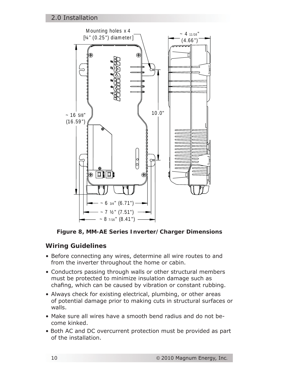

*Figure 8, MM-AE Series Inverter/Charger Dimensions*

# **Wiring Guidelines**

- Before connecting any wires, determine all wire routes to and from the inverter throughout the home or cabin.
- Conductors passing through walls or other structural members must be protected to minimize insulation damage such as chafing, which can be caused by vibration or constant rubbing.
- Always check for existing electrical, plumbing, or other areas of potential damage prior to making cuts in structural surfaces or walls.
- Make sure all wires have a smooth bend radius and do not be come kinked.
- Both AC and DC overcurrent protection must be provided as part of the installation.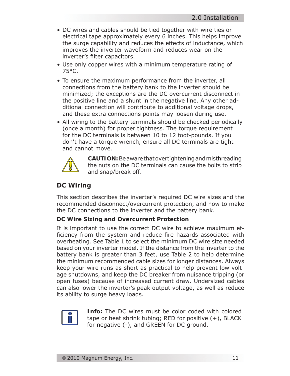- DC wires and cables should be tied together with wire ties or electrical tape approximately every 6 inches. This helps improve the surge capability and reduces the effects of inductance, which improves the inverter waveform and reduces wear on the inverter's filter capacitors.
- Use only copper wires with a minimum temperature rating of 75°C.
- To ensure the maximum performance from the inverter, all connections from the battery bank to the inverter should be minimized; the exceptions are the DC overcurrent disconnect in the positive line and a shunt in the negative line. Any other ad ditional connection will contribute to additional voltage drops, and these extra connections points may loosen during use.
- All wiring to the battery terminals should be checked periodically (once a month) for proper tightness. The torque requirement for the DC terminals is between 10 to 12 foot-pounds. If you don't have a torque wrench, ensure all DC terminals are tight and cannot move.



**CAUTION:** Be aware that overtightening and misthreading the nuts on the DC terminals can cause the bolts to strip and snap/break off.

## **DC Wiring**

This section describes the inverter's required DC wire sizes and the recommended disconnect/overcurrent protection, and how to make the DC connections to the inverter and the battery bank.

#### **DC Wire Sizing and Overcurrent Protection**

It is important to use the correct DC wire to achieve maximum efficiency from the system and reduce fire hazards associated with overheating. See Table 1 to select the minimum DC wire size needed based on your inverter model. If the distance from the inverter to the battery bank is greater than 3 feet, use Table 2 to help determine the minimum recommended cable sizes for longer distances. Always keep your wire runs as short as practical to help prevent low voltage shutdowns, and keep the DC breaker from nuisance tripping (or open fuses) because of increased current draw. Undersized cables can also lower the inverter's peak output voltage, as well as reduce its ability to surge heavy loads.



**Info:** The DC wires must be color coded with colored tape or heat shrink tubing; RED for positive (+), BLACK for negative (-), and GREEN for DC ground.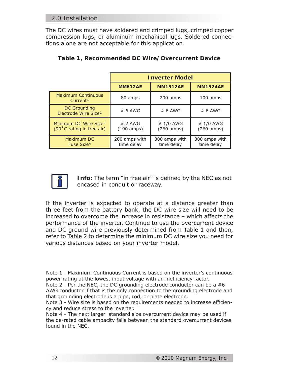# 2.0 Installation

The DC wires must have soldered and crimped lugs, crimped copper compression lugs, or aluminum mechanical lugs. Soldered connections alone are not acceptable for this application.

|                                                                          | <b>Inverter Model</b>                   |                                   |                                   |
|--------------------------------------------------------------------------|-----------------------------------------|-----------------------------------|-----------------------------------|
|                                                                          | <b>MM612AE</b>                          | <b>MM1512AE</b>                   | <b>MM1524AE</b>                   |
| <b>Maximum Continuous</b><br>Current <sup>1</sup>                        | 80 amps                                 | 200 amps                          | 100 amps                          |
| DC Grounding<br>Electrode Wire Size <sup>2</sup>                         | # 6 AWG                                 | # 6 AWG                           | $# 6$ AWG                         |
| Minimum DC Wire Size <sup>3</sup><br>$(90^{\circ}$ C rating in free air) | $# 2$ AWG<br>$(190 \space \text{amps})$ | # 1/0 AWG<br>$(260 \text{ amps})$ | # 1/0 AWG<br>$(260 \text{ amps})$ |
| Maximum DC<br>Fuse Size <sup>4</sup>                                     | 200 amps with<br>time delay             | 300 amps with<br>time delay       | 300 amps with<br>time delay       |

#### **Table 1, Recommended DC Wire/Overcurrent Device**



**Info:** The term "in free air" is defined by the NEC as not encased in conduit or raceway.

If the inverter is expected to operate at a distance greater than three feet from the battery bank, the DC wire size will need to be increased to overcome the increase in resistance – which affects the performance of the inverter. Continue to use the overcurrent device and DC ground wire previously determined from Table 1 and then, refer to Table 2 to determine the minimum DC wire size you need for various distances based on your inverter model.

Note 1 - Maximum Continuous Current is based on the inverter's continuous power rating at the lowest input voltage with an inefficiency factor.

Note 2 - Per the NEC, the DC grounding electrode conductor can be a #6 AWG conductor if that is the only connection to the grounding electrode and that grounding electrode is a pipe, rod, or plate electrode.

Note 3 - Wire size is based on the requirements needed to increase efficiency and reduce stress to the inverter.

Note 4 - The next larger standard size overcurrent device may be used if the de-rated cable ampacity falls between the standard overcurrent devices found in the NEC.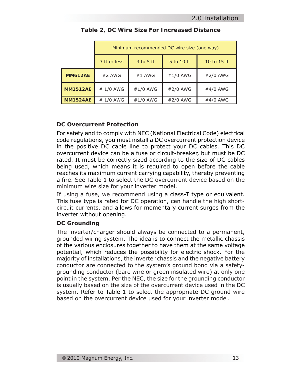|                 | Minimum recommended DC wire size (one way)                 |          |          |          |
|-----------------|------------------------------------------------------------|----------|----------|----------|
|                 | $3$ to $5$ ft<br>3 ft or less<br>5 to 10 ft<br>10 to 15 ft |          |          |          |
| <b>MM612AE</b>  | $#2$ AWG                                                   | #1 AWG   | #1/0 AWG | #2/0 AWG |
| <b>MM1512AE</b> | # 1/0 AWG                                                  | #1/0 AWG | #2/0 AWG | #4/0 AWG |
| <b>MM1524AE</b> | # 1/0 AWG                                                  | #1/0 AWG | #2/0 AWG | #4/0 AWG |

#### **Table 2, DC Wire Size For Increased Distance**

#### **DC Overcurrent Protection**

For safety and to comply with NEC (National Electrical Code) electrical code regulations, you must install a DC overcurrent protection device in the positive DC cable line to protect your DC cables. This DC overcurrent device can be a fuse or circuit-breaker, but must be DC rated. It must be correctly sized according to the size of DC cables being used, which means it is required to open before the cable reaches its maximum current carrying capability, thereby preventing a fire. See Table 1 to select the DC overcurrent device based on the minimum wire size for your inverter model.

If using a fuse, we recommend using a class-T type or equivalent. This fuse type is rated for DC operation, can handle the high shortcircuit currents, and allows for momentary current surges from the inverter without opening.

#### **DC Grounding**

The inverter/charger should always be connected to a permanent, grounded wiring system. The idea is to connect the metallic chassis of the various enclosures together to have them at the same voltage potential, which reduces the possibility for electric shock. For the majority of installations, the inverter chassis and the negative battery conductor are connected to the system's ground bond via a safetygrounding conductor (bare wire or green insulated wire) at only one point in the system. Per the NEC, the size for the grounding conductor is usually based on the size of the overcurrent device used in the DC system. Refer to Table 1 to select the appropriate DC ground wire based on the overcurrent device used for your inverter model.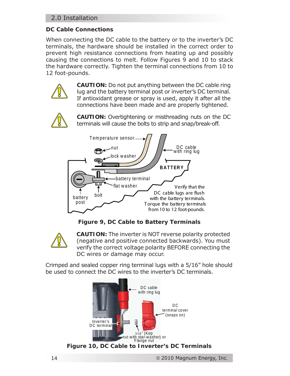# 2.0 Installation

## **DC Cable Connections**

When connecting the DC cable to the battery or to the inverter's DC terminals, the hardware should be installed in the correct order to prevent high resistance connections from heating up and possibly causing the connections to melt. Follow Figures 9 and 10 to stack the hardware correctly. Tighten the terminal connections from 10 to 12 foot-pounds.



**CAUTION:** Do not put anything between the DC cable ring lug and the battery terminal post or inverter's DC terminal. If antioxidant grease or spray is used, apply it after all the connections have been made and are properly tightened.



**CAUTION:** Overtightening or misthreading nuts on the DC terminals will cause the bolts to strip and snap/break-off.



*Figure 9, DC Cable to Battery Terminals*



**CAUTION:** The inverter is NOT reverse polarity protected (negative and positive connected backwards). You must verify the correct voltage polarity BEFORE connecting the DC wires or damage may occur.

Crimped and sealed copper ring terminal lugs with a 5/16" hole should be used to connect the DC wires to the inverter's DC terminals.

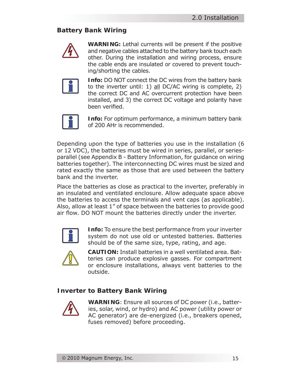# **Battery Bank Wiring**



**WARNING:** Lethal currents will be present if the positive and negative cables attached to the battery bank touch each other. During the installation and wiring process, ensure the cable ends are insulated or covered to prevent touching/shorting the cables.



**Info:** DO NOT connect the DC wires from the battery bank to the inverter until: 1) all DC/AC wiring is complete, 2) the correct DC and AC overcurrent protection have been installed, and 3) the correct DC voltage and polarity have been verified.



**Info:** For optimum performance, a minimum battery bank of 200 AHr is recommended.

Depending upon the type of batteries you use in the installation (6 or 12 VDC), the batteries must be wired in series, parallel, or seriesparallel (see Appendix B - Battery Information, for guidance on wiring batteries together). The interconnecting DC wires must be sized and rated exactly the same as those that are used between the battery bank and the inverter.

Place the batteries as close as practical to the inverter, preferably in an insulated and ventilated enclosure. Allow adequate space above the batteries to access the terminals and vent caps (as applicable). Also, allow at least 1" of space between the batteries to provide good air flow. DO NOT mount the batteries directly under the inverter.



**Info:** To ensure the best performance from your inverter system do not use old or untested batteries. Batteries should be of the same size, type, rating, and age.



**CAUTION:** Install batteries in a well ventilated area. Batteries can produce explosive gasses. For compartment or enclosure installations, always vent batteries to the outside.

# **Inverter to Battery Bank Wiring**



**WARNING**: Ensure all sources of DC power (i.e., batteries, solar, wind, or hydro) and AC power (utility power or AC generator) are de-energized (i.e., breakers opened, fuses removed) before proceeding.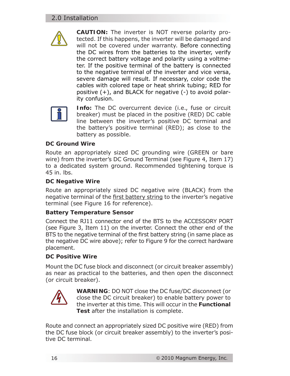# 2.0 Installation



**CAUTION:** The inverter is NOT reverse polarity protected. If this happens, the inverter will be damaged and will not be covered under warranty. Before connecting the DC wires from the batteries to the inverter, verify the correct battery voltage and polarity using a voltmeter. If the positive terminal of the battery is connected to the negative terminal of the inverter and vice versa, severe damage will result. If necessary, color code the cables with colored tape or heat shrink tubing; RED for positive (+), and BLACK for negative (-) to avoid polarity confusion.



**Info:** The DC overcurrent device (i.e., fuse or circuit breaker) must be placed in the positive (RED) DC cable line between the inverter's positive DC terminal and the battery's positive terminal (RED); as close to the battery as possible.

#### **DC Ground Wire**

Route an appropriately sized DC grounding wire (GREEN or bare wire) from the inverter's DC Ground Terminal (see Figure 4, Item 17) to a dedicated system ground. Recommended tightening torque is 45 in. lbs.

#### **DC Negative Wire**

Route an appropriately sized DC negative wire (BLACK) from the negative terminal of the first battery string to the inverter's negative terminal (see Figure 16 for reference).

#### **Battery Temperature Sensor**

Connect the RJ11 connector end of the BTS to the ACCESSORY PORT (see Figure 3, Item 11) on the inverter. Connect the other end of the BTS to the negative terminal of the first battery string (in same place as the negative DC wire above); refer to Figure 9 for the correct hardware placement.

#### **DC Positive Wire**

Mount the DC fuse block and disconnect (or circuit breaker assembly) as near as practical to the batteries, and then open the disconnect (or circuit breaker).



**WARNING**: DO NOT close the DC fuse/DC disconnect (or close the DC circuit breaker) to enable battery power to the inverter at this time. This will occur in the **Functional Test** after the installation is complete.

Route and connect an appropriately sized DC positive wire (RED) from the DC fuse block (or circuit breaker assembly) to the inverter's positive DC terminal.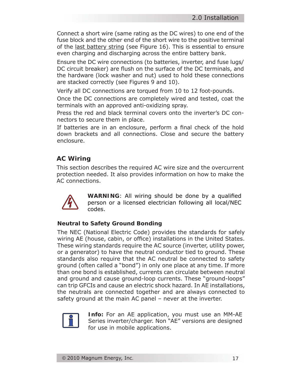Connect a short wire (same rating as the DC wires) to one end of the fuse block and the other end of the short wire to the positive terminal of the last battery string (see Figure 16). This is essential to ensure even charging and discharging across the entire battery bank.

Ensure the DC wire connections (to batteries, inverter, and fuse lugs/ DC circuit breaker) are flush on the surface of the DC terminals, and the hardware (lock washer and nut) used to hold these connections are stacked correctly (see Figures 9 and 10).

Verify all DC connections are torqued from 10 to 12 foot-pounds.

Once the DC connections are completely wired and tested, coat the terminals with an approved anti-oxidizing spray.

Press the red and black terminal covers onto the inverter's DC connectors to secure them in place.

If batteries are in an enclosure, perform a final check of the hold down brackets and all connections. Close and secure the battery enclosure.

# **AC Wiring**

This section describes the required AC wire size and the overcurrent protection needed. It also provides information on how to make the AC connections.



**WARNING:** All wiring should be done by a qualified person or a licensed electrician following all local/NEC codes.

#### **Neutral to Safety Ground Bonding**

The NEC (National Electric Code) provides the standards for safely wiring AE (house, cabin, or office) installations in the United States. These wiring standards require the AC source (inverter, utility power, or a generator) to have the neutral conductor tied to ground. These standards also require that the AC neutral be connected to safety ground (often called a "bond") in only one place at any time. If more than one bond is established, currents can circulate between neutral and ground and cause ground-loop currents. These "ground-loops" can trip GFCIs and cause an electric shock hazard. In AE installations, the neutrals are connected together and are always connected to safety ground at the main AC panel – never at the inverter.



**Info:** For an AE application, you must use an MM-AE Series inverter/charger. Non "AE" versions are designed for use in mobile applications.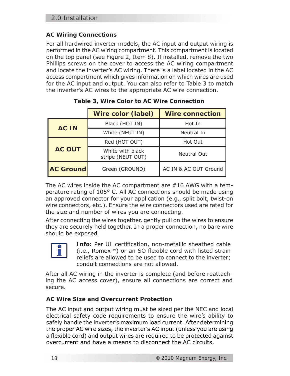## **AC Wiring Connections**

For all hardwired inverter models, the AC input and output wiring is performed in the AC wiring compartment. This compartment is located on the top panel (see Figure 2, Item 8). If installed, remove the two Phillips screws on the cover to access the AC wiring compartment and locate the inverter's AC wiring. There is a label located in the AC access compartment which gives information on which wires are used for the AC input and output. You can also refer to Table 3 to match the inverter's AC wires to the appropriate AC wire connection.

|                  | Wire color (label)                    | <b>Wire connection</b> |
|------------------|---------------------------------------|------------------------|
|                  | Black (HOT IN)                        | Hot In                 |
| <b>AC IN</b>     | White (NEUT IN)                       | Neutral In             |
|                  | Red (HOT OUT)                         | Hot Out                |
| <b>AC OUT</b>    | White with black<br>stripe (NEUT OUT) | Neutral Out            |
| <b>AC Ground</b> | Green (GROUND)                        | AC IN & AC OUT Ground  |

**Table 3, Wire Color to AC Wire Connection**

The AC wires inside the AC compartment are #16 AWG with a temperature rating of 105° C. All AC connections should be made using an approved connector for your application (e.g., split bolt, twist-on wire connectors, etc.). Ensure the wire connectors used are rated for the size and number of wires you are connecting.

After connecting the wires together, gently pull on the wires to ensure they are securely held together. In a proper connection, no bare wire should be exposed.



**Info:** Per UL certification, non-metallic sheathed cable (i.e., Romex<sup>™</sup>) or an SO flexible cord with listed strain reliefs are allowed to be used to connect to the inverter; conduit connections are not allowed.

After all AC wiring in the inverter is complete (and before reattaching the AC access cover), ensure all connections are correct and secure.

# **AC Wire Size and Overcurrent Protection**

The AC input and output wiring must be sized per the NEC and local electrical safety code requirements to ensure the wire's ability to safely handle the inverter's maximum load current. After determining the proper AC wire sizes, the inverter's AC input (unless you are using a flexible cord) and output wires are required to be protected against overcurrent and have a means to disconnect the AC circuits.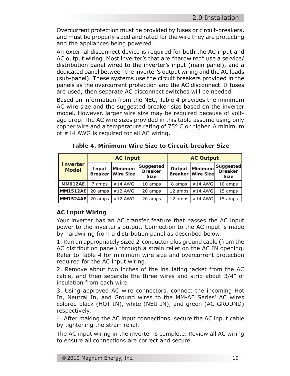Overcurrent protection must be provided by fuses or circuit-breakers, and must be properly sized and rated for the wire they are protecting and the appliances being powered.

An external disconnect device is required for both the AC input and AC output wiring. Most inverter's that are "hardwired" use a service/ distribution panel wired to the inverter's input (main panel), and a dedicated panel between the inverter's output wiring and the AC loads (sub-panel). These systems use the circuit breakers provided in the panels as the overcurrent protection and the AC disconnect. If fuses are used, then separate AC disconnect switches will be needed.

Based on information from the NEC, Table 4 provides the minimum AC wire size and the suggested breaker size based on the inverter model. However, larger wire size may be required because of voltage drop. The AC wire sizes provided in this table assume using only copper wire and a temperature rating of 75° C or higher. A minimum of #14 AWG is required for all AC wiring.

|                                 | <b>AC Input</b> |                                      | <b>AC Output</b>                           |         |                                     |                                            |
|---------------------------------|-----------------|--------------------------------------|--------------------------------------------|---------|-------------------------------------|--------------------------------------------|
| <b>Inverter</b><br><b>Model</b> | Input           | Minimum<br><b>Breaker Wire Sizel</b> | Suggested<br><b>Breaker</b><br><b>Size</b> | Output  | Minimum<br><b>Breaker Wire Size</b> | Suggested<br><b>Breaker</b><br><b>Size</b> |
| <b>MM612AE</b>                  | amps            | #14 AWG                              | 10 amps                                    | 8 amps  | $#14$ AWG                           | 10 amps                                    |
| <b>MM1512AE</b>                 | 20 amps         | #12 AWG                              | 20 amps                                    | 12 amps | $#14$ AWG                           | 15 amps                                    |
| <b>MM1524AE</b>                 | 20 amps         | #12 AWG                              | 20 amps                                    | 12 amps | $#14$ AWG                           | 15 amps                                    |

**Table 4, Minimum Wire Size to Circuit-breaker Size**

#### **AC Input Wiring**

Your inverter has an AC transfer feature that passes the AC input power to the inverter's output. Connection to the AC input is made by hardwiring from a distribution panel as described below:

1. Run an appropriately sized 2-conductor plus ground cable (from the AC distribution panel) through a strain relief on the AC IN opening. Refer to Table 4 for minimum wire size and overcurrent protection required for the AC input wiring.

2. Remove about two inches of the insulating jacket from the AC cable, and then separate the three wires and strip about 3/4" of insulation from each wire.

3. Using approved AC wire connectors, connect the incoming Hot In, Neutral In, and Ground wires to the MM-AE Series' AC wires colored black (HOT IN), white (NEU IN), and green (AC GROUND) respectively.

4. After making the AC input connections, secure the AC input cable by tightening the strain relief.

The AC input wiring in the inverter is complete. Review all AC wiring to ensure all connections are correct and secure.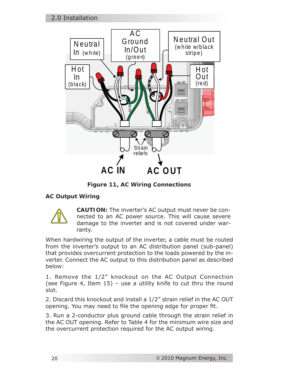

*Figure 11, AC Wiring Connections*

# **AC Output Wiring**



**CAUTION:** The inverter's AC output must never be connected to an AC power source. This will cause severe damage to the inverter and is not covered under warranty.

When hardwiring the output of the inverter, a cable must be routed from the inverter's output to an AC distribution panel (sub-panel) that provides overcurrent protection to the loads powered by the inverter. Connect the AC output to this distribution panel as described below:

1. Remove the 1/2" knockout on the AC Output Connection (see Figure 4, Item 15) – use a utility knife to cut thru the round slot.

2. Discard this knockout and install a 1/2" strain relief in the AC OUT opening. You may need to file the opening edge for proper fit.

3. Run a 2-conductor plus ground cable through the strain relief in the AC OUT opening. Refer to Table 4 for the minimum wire size and the overcurrent protection required for the AC output wiring.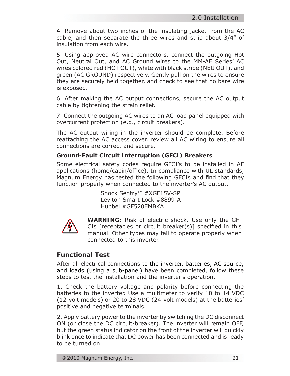4. Remove about two inches of the insulating jacket from the AC cable, and then separate the three wires and strip about 3/4" of insulation from each wire.

5. Using approved AC wire connectors, connect the outgoing Hot Out, Neutral Out, and AC Ground wires to the MM-AE Series' AC wires colored red (HOT OUT), white with black stripe (NEU OUT), and green (AC GROUND) respectively. Gently pull on the wires to ensure they are securely held together, and check to see that no bare wire is exposed.

6. After making the AC output connections, secure the AC output cable by tightening the strain relief.

7. Connect the outgoing AC wires to an AC load panel equipped with overcurrent protection (e.g., circuit breakers).

The AC output wiring in the inverter should be complete. Before reattaching the AC access cover, review all AC wiring to ensure all connections are correct and secure.

#### **Ground-Fault Circuit Interruption (GFCI) Breakers**

Some electrical safety codes require GFCI's to be installed in AE applications (home/cabin/office). In compliance with UL standards, Magnum Energy has tested the following GFCIs and find that they function properly when connected to the inverter's AC output.

> Shock Sentry<sup>™</sup> #XGF15V-SP Leviton Smart Lock #8899-A Hubbel #GF520EMBKA



**WARNING**: Risk of electric shock. Use only the GF-CIs [receptacles or circuit breaker(s)] specified in this manual. Other types may fail to operate properly when connected to this inverter.

# **Functional Test**

After all electrical connections to the inverter, batteries, AC source, and loads (using a sub-panel) have been completed, follow these steps to test the installation and the inverter's operation.

1. Check the battery voltage and polarity before connecting the batteries to the inverter. Use a multimeter to verify 10 to 14 VDC (12-volt models) or 20 to 28 VDC (24-volt models) at the batteries' positive and negative terminals.

2. Apply battery power to the inverter by switching the DC disconnect ON (or close the DC circuit-breaker). The inverter will remain OFF, but the green status indicator on the front of the inverter will quickly blink once to indicate that DC power has been connected and is ready to be turned on.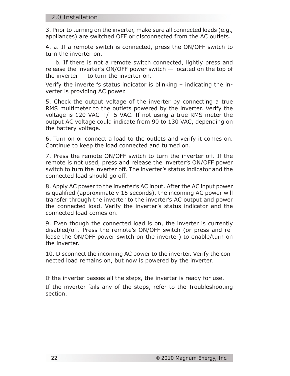#### 2.0 Installation

3. Prior to turning on the inverter, make sure all connected loads (e.g., appliances) are switched OFF or disconnected from the AC outlets.

4. a. If a remote switch is connected, press the ON/OFF switch to turn the inverter on.

 b. If there is not a remote switch connected, lightly press and release the inverter's ON/OFF power switch — located on the top of the inverter  $-$  to turn the inverter on.

Verify the inverter's status indicator is blinking – indicating the inverter is providing AC power.

5. Check the output voltage of the inverter by connecting a true RMS multimeter to the outlets powered by the inverter. Verify the voltage is 120 VAC  $+/-$  5 VAC. If not using a true RMS meter the output AC voltage could indicate from 90 to 130 VAC, depending on the battery voltage.

6. Turn on or connect a load to the outlets and verify it comes on. Continue to keep the load connected and turned on.

7. Press the remote ON/OFF switch to turn the inverter off. If the remote is not used, press and release the inverter's ON/OFF power switch to turn the inverter off. The inverter's status indicator and the connected load should go off.

8. Apply AC power to the inverter's AC input. After the AC input power is qualified (approximately 15 seconds), the incoming AC power will transfer through the inverter to the inverter's AC output and power the connected load. Verify the inverter's status indicator and the connected load comes on.

9. Even though the connected load is on, the inverter is currently disabled/off. Press the remote's ON/OFF switch (or press and release the ON/OFF power switch on the inverter) to enable/turn on the inverter.

10. Disconnect the incoming AC power to the inverter. Verify the connected load remains on, but now is powered by the inverter.

If the inverter passes all the steps, the inverter is ready for use.

If the inverter fails any of the steps, refer to the Troubleshooting section.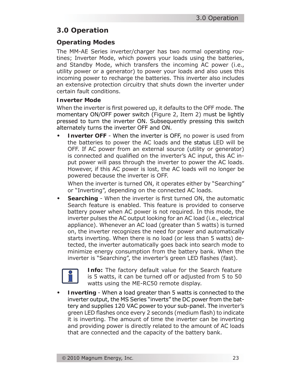# **3.0 Operation**

# **Operating Modes**

The MM-AE Series inverter/charger has two normal operating routines; Inverter Mode, which powers your loads using the batteries, and Standby Mode, which transfers the incoming AC power (i.e., utility power or a generator) to power your loads and also uses this incoming power to recharge the batteries. This inverter also includes an extensive protection circuitry that shuts down the inverter under certain fault conditions.

#### **Inverter Mode**

When the inverter is first powered up, it defaults to the OFF mode. The momentary ON/OFF power switch (Figure 2, Item 2) must be lightly pressed to turn the inverter ON. Subsequently pressing this switch alternately turns the inverter OFF and ON.

**Inverter OFF** - When the inverter is OFF, no power is used from the batteries to power the AC loads and the status LED will be OFF. If AC power from an external source (utility or generator) is connected and qualified on the inverter's AC input, this AC input power will pass through the inverter to power the AC loads. However, if this AC power is lost, the AC loads will no longer be powered because the inverter is OFF. **•**

When the inverter is turned ON, it operates either by "Searching" or "Inverting", depending on the connected AC loads.

**Searching** - When the inverter is first turned ON, the automatic Search feature is enabled. This feature is provided to conserve battery power when AC power is not required. In this mode, the inverter pulses the AC output looking for an AC load (i.e., electrical appliance). Whenever an AC load (greater than 5 watts) is turned on, the inverter recognizes the need for power and automatically starts inverting. When there is no load (or less than 5 watts) detected, the inverter automatically goes back into search mode to minimize energy consumption from the battery bank. When the inverter is "Searching", the inverter's green LED flashes (fast). **•**



**Info:** The factory default value for the Search feature is 5 watts, it can be turned off or adjusted from 5 to 50 watts using the ME-RC50 remote display.

**Inverting** - When a load greater than 5 watts is connected to the inverter output, the MS Series "inverts" the DC power from the battery and supplies 120 VAC power to your sub-panel. The inverter's green LED flashes once every 2 seconds (medium flash) to indicate it is inverting. The amount of time the inverter can be inverting and providing power is directly related to the amount of AC loads that are connected and the capacity of the battery bank. **•**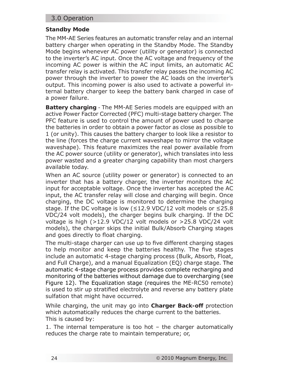## 3.0 Operation

#### **Standby Mode**

The MM-AE Series features an automatic transfer relay and an internal battery charger when operating in the Standby Mode. The Standby Mode begins whenever AC power (utility or generator) is connected to the inverter's AC input. Once the AC voltage and frequency of the incoming AC power is within the AC input limits, an automatic AC transfer relay is activated. This transfer relay passes the incoming AC power through the inverter to power the AC loads on the inverter's output. This incoming power is also used to activate a powerful internal battery charger to keep the battery bank charged in case of a power failure.

**Battery charging** - The MM-AE Series models are equipped with an active Power Factor Corrected (PFC) multi-stage battery charger. The PFC feature is used to control the amount of power used to charge the batteries in order to obtain a power factor as close as possible to 1 (or unity). This causes the battery charger to look like a resistor to the line (forces the charge current waveshape to mirror the voltage waveshape). This feature maximizes the real power available from the AC power source (utility or generator), which translates into less power wasted and a greater charging capability than most chargers available today.

When an AC source (utility power or generator) is connected to an inverter that has a battery charger, the inverter monitors the AC input for acceptable voltage. Once the inverter has accepted the AC input, the AC transfer relay will close and charging will begin. Once charging, the DC voltage is monitored to determine the charging stage. If the DC voltage is low ( $\leq$ 12.9 VDC/12 volt models or  $\leq$ 25.8 VDC/24 volt models), the charger begins bulk charging. If the DC voltage is high (>12.9 VDC/12 volt models or >25.8 VDC/24 volt models), the charger skips the initial Bulk/Absorb Charging stages and goes directly to float charging.

The multi-stage charger can use up to five different charging stages to help monitor and keep the batteries healthy. The five stages include an automatic 4-stage charging process (Bulk, Absorb, Float, and Full Charge), and a manual Equalization (EQ) charge stage. The automatic 4-stage charge process provides complete recharging and monitoring of the batteries without damage due to overcharging (see Figure 12). The Equalization stage (requires the ME-RC50 remote) is used to stir up stratified electrolyte and reverse any battery plate sulfation that might have occurred.

While charging, the unit may go into **Charger Back-off** protection which automatically reduces the charge current to the batteries. This is caused by:

1. The internal temperature is too hot – the charger automatically reduces the charge rate to maintain temperature; or,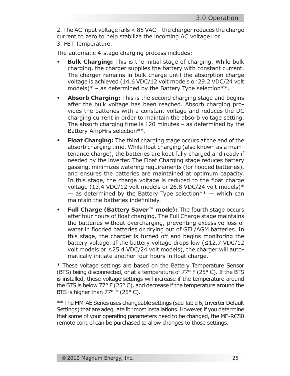2. The AC input voltage falls < 85 VAC – the charger reduces the charge current to zero to help stabilize the incoming AC voltage; or 3. FET Temperature.

The automatic 4-stage charging process includes:

- **Bulk Charging:** This is the initial stage of charging. While bulk charging, the charger supplies the battery with constant current. The charger remains in bulk charge until the absorption charge voltage is achieved (14.6 VDC/12 volt models or 29.2 VDC/24 volt models) $*$  – as determined by the Battery Type selection $**$ . **•**
- **Absorb Charging:** This is the second charging stage and begins after the bulk voltage has been reached. Absorb charging provides the batteries with a constant voltage and reduces the DC charging current in order to maintain the absorb voltage setting. The absorb charging time is 120 minutes – as determined by the Battery AmpHrs selection\*\*. **•**
- **Float Charging:** The third charging stage occurs at the end of the absorb charging time. While float charging (also known as a maintenance charge), the batteries are kept fully charged and ready if needed by the inverter. The Float Charging stage reduces battery gassing, minimizes watering requirements (for flooded batteries), and ensures the batteries are maintained at optimum capacity. In this stage, the charge voltage is reduced to the float charge voltage (13.4 VDC/12 volt models or 26.8 VDC/24 volt models)\*  $-$  as determined by the Battery Type selection<sup>\*\*</sup>  $-$  which can maintain the batteries indefinitely. **•**
- **Full Charge (Battery Saver™ mode):** The fourth stage occurs after four hours of float charging. The Full Charge stage maintains the batteries without overcharging, preventing excessive loss of water in flooded batteries or drying out of GEL/AGM batteries. In this stage, the charger is turned off and begins monitoring the battery voltage. If the battery voltage drops low (≤12.7 VDC/12 volt models or ≤25.4 VDC/24 volt models), the charger will automatically initiate another four hours in float charge. **•**

\* These voltage settings are based on the Battery Temperature Sensor (BTS) being disconnected, or at a temperature of 77° F (25° C). If the BTS is installed, these voltage settings will increase if the temperature around the BTS is below 77° F (25° C), and decrease if the temperature around the BTS is higher than 77° F (25° C).

\*\* The MM-AE Series uses changeable settings (see Table 6, Inverter Default Settings) that are adequate for most installations. However, if you determine that some of your operating parameters need to be changed, the ME-RC50 remote control can be purchased to allow changes to those settings.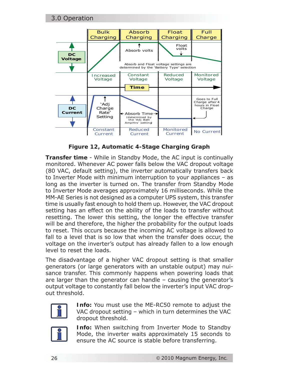

*Figure 12, Automatic 4-Stage Charging Graph*

**Transfer time** - While in Standby Mode, the AC input is continually monitored. Whenever AC power falls below the VAC dropout voltage (80 VAC, default setting), the inverter automatically transfers back to Inverter Mode with minimum interruption to your appliances – as long as the inverter is turned on. The transfer from Standby Mode to Inverter Mode averages approximately 16 milliseconds. While the MM-AE Series is not designed as a computer UPS system, this transfer time is usually fast enough to hold them up. However, the VAC dropout setting has an effect on the ability of the loads to transfer without resetting. The lower this setting, the longer the effective transfer will be and therefore, the higher the probability for the output loads to reset. This occurs because the incoming AC voltage is allowed to fall to a level that is so low that when the transfer does occur, the voltage on the inverter's output has already fallen to a low enough level to reset the loads.

The disadvantage of a higher VAC dropout setting is that smaller generators (or large generators with an unstable output) may nuisance transfer. This commonly happens when powering loads that are larger than the generator can handle – causing the generator's output voltage to constantly fall below the inverter's input VAC dropout threshold.



**Info:** You must use the ME-RC50 remote to adjust the VAC dropout setting – which in turn determines the VAC dropout threshold.



**Info:** When switching from Inverter Mode to Standby Mode, the inverter waits approximately 15 seconds to ensure the AC source is stable before transferring.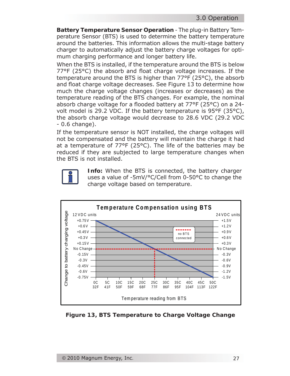**Battery Temperature Sensor Operation** - The plug-in Battery Temperature Sensor (BTS) is used to determine the battery temperature around the batteries. This information allows the multi-stage battery charger to automatically adjust the battery charge voltages for optimum charging performance and longer battery life.

When the BTS is installed, if the temperature around the BTS is below 77°F (25°C) the absorb and float charge voltage increases. If the temperature around the BTS is higher than 77°F (25°C), the absorb and float charge voltage decreases. See Figure 13 to determine how much the charge voltage changes (increases or decreases) as the temperature reading of the BTS changes. For example, the nominal absorb charge voltage for a flooded battery at  $77^{\circ}F(25^{\circ}C)$  on a 24volt model is 29.2 VDC. If the battery temperature is 95°F (35°C), the absorb charge voltage would decrease to 28.6 VDC (29.2 VDC - 0.6 change).

If the temperature sensor is NOT installed, the charge voltages will not be compensated and the battery will maintain the charge it had at a temperature of 77°F (25°C). The life of the batteries may be reduced if they are subjected to large temperature changes when the BTS is not installed.



**Info:** When the BTS is connected, the battery charger uses a value of -5mV/°C/Cell from 0-50°C to change the charge voltage based on temperature.



*Figure 13, BTS Temperature to Charge Voltage Change*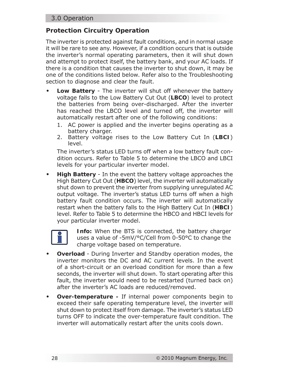# **Protection Circuitry Operation**

The inverter is protected against fault conditions, and in normal usage it will be rare to see any. However, if a condition occurs that is outside the inverter's normal operating parameters, then it will shut down and attempt to protect itself, the battery bank, and your AC loads. If there is a condition that causes the inverter to shut down, it may be one of the conditions listed below. Refer also to the Troubleshooting section to diagnose and clear the fault.

- **Low Battery** The inverter will shut off whenever the battery voltage falls to the Low Battery Cut Out (**LBCO**) level to protect the batteries from being over-discharged. After the inverter has reached the LBCO level and turned off, the inverter will automatically restart after one of the following conditions: **•**
	- 1. AC power is applied and the inverter begins operating as a battery charger.
	- 2. Battery voltage rises to the Low Battery Cut In (**LBCI**) level.

The inverter's status LED turns off when a low battery fault condition occurs. Refer to Table 5 to determine the LBCO and LBCI levels for your particular inverter model.

**High Battery** - In the event the battery voltage approaches the High Battery Cut Out (**HBCO**) level, the inverter will automatically shut down to prevent the inverter from supplying unregulated AC output voltage. The inverter's status LED turns off when a high battery fault condition occurs. The inverter will automatically restart when the battery falls to the High Battery Cut In (**HBCI**) level. Refer to Table 5 to determine the HBCO and HBCI levels for your particular inverter model. **•**



**Info:** When the BTS is connected, the battery charger uses a value of -5mV/°C/Cell from 0-50°C to change the charge voltage based on temperature.

- **Overload**  During Inverter and Standby operation modes, the inverter monitors the DC and AC current levels. In the event of a short-circuit or an overload condition for more than a few seconds, the inverter will shut down. To start operating after this fault, the inverter would need to be restarted (turned back on) after the inverter's AC loads are reduced/removed. **•**
- **Over-temperature** If internal power components begin to exceed their safe operating temperature level, the inverter will shut down to protect itself from damage. The inverter's status LED turns OFF to indicate the over-temperature fault condition. The inverter will automatically restart after the units cools down. **•**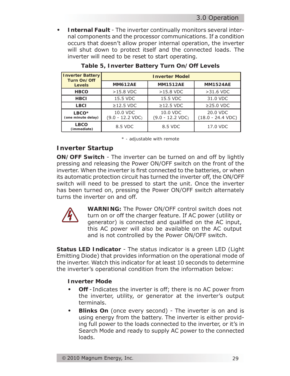**Internal Fault** - The inverter continually monitors several internal components and the processor communications. If a condition occurs that doesn't allow proper internal operation, the inverter will shut down to protect itself and the connected loads. The inverter will need to be reset to start operating. **•**

| <b>Inverter Battery</b><br>Turn On/Off  | <b>Inverter Model</b>                  |                                        |                                         |  |
|-----------------------------------------|----------------------------------------|----------------------------------------|-----------------------------------------|--|
| <b>Levels</b>                           | <b>MM612AE</b>                         | <b>MM1512AE</b>                        | <b>MM1524AE</b>                         |  |
| <b>HBCO</b>                             | $>15.8$ VDC                            | $>15.8$ VDC                            | $>31.6$ VDC                             |  |
| <b>HBCI</b>                             | 15.5 VDC                               | 15.5 VDC                               | 31.0 VDC                                |  |
| <b>LBCI</b>                             | $\geq$ 12.5 VDC                        | $\geq$ 12.5 VDC                        | $\geq$ 25.0 VDC                         |  |
| LBCO <sup>*</sup><br>(one minute delay) | 10.0 VDC<br>$(9.0 - 12.2 \text{ VDC})$ | 10.0 VDC<br>$(9.0 - 12.2 \text{ VDC})$ | 20.0 VDC<br>$(18.0 - 24.4 \text{ VDC})$ |  |
| <b>LBCO</b><br>(immediate)              | 8.5 VDC                                | 8.5 VDC                                | 17.0 VDC                                |  |

#### **Table 5, Inverter Battery Turn On/Off Levels**

*\* - adjustable with remote*

# **Inverter Startup**

**ON/OFF Switch** - The inverter can be turned on and off by lightly pressing and releasing the Power ON/OFF switch on the front of the inverter. When the inverter is first connected to the batteries, or when its automatic protection circuit has turned the inverter off, the ON/OFF switch will need to be pressed to start the unit. Once the inverter has been turned on, pressing the Power ON/OFF switch alternately turns the inverter on and off.



**WARNING:** The Power ON/OFF control switch does not turn on or off the charger feature. If AC power (utility or generator) is connected and qualified on the AC input, this AC power will also be available on the AC output and is not controlled by the Power ON/OFF switch.

**Status LED Indicator** - The status indicator is a green LED (Light Emitting Diode) that provides information on the operational mode of the inverter. Watch this indicator for at least 10 seconds to determine the inverter's operational condition from the information below:

#### **Inverter Mode**

- **Off** Indicates the inverter is off; there is no AC power from the inverter, utility, or generator at the inverter's output terminals. **•**
- **Blinks On** (once every second) The inverter is on and is using energy from the battery. The inverter is either providing full power to the loads connected to the inverter, or it's in Search Mode and ready to supply AC power to the connected loads. **•**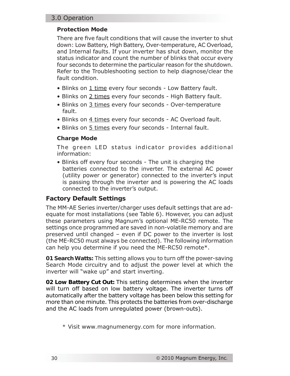#### 3.0 Operation

#### **Protection Mode**

There are five fault conditions that will cause the inverter to shut down: Low Battery, High Battery, Over-temperature, AC Overload, and Internal faults. If your inverter has shut down, monitor the status indicator and count the number of blinks that occur every four seconds to determine the particular reason for the shutdown. Refer to the Troubleshooting section to help diagnose/clear the fault condition.

- Blinks on 1 time every four seconds Low Battery fault.
- Blinks on 2 times every four seconds High Battery fault.
- Blinks on 3 times every four seconds Over-temperature fault.
- Blinks on 4 times every four seconds AC Overload fault.
- Blinks on 5 times every four seconds Internal fault.

#### **Charge Mode**

The green LED status indicator provides additional information:

• Blinks off every four seconds - The unit is charging the batteries connected to the inverter. The external AC power (utility power or generator) connected to the inverter's input is passing through the inverter and is powering the AC loads connected to the inverter's output.

# **Factory Default Settings**

The MM-AE Series inverter/charger uses default settings that are adequate for most installations (see Table 6). However, you can adjust these parameters using Magnum's optional ME-RC50 remote. The settings once programmed are saved in non-volatile memory and are preserved until changed – even if DC power to the inverter is lost (the ME-RC50 must always be connected). The following information can help you determine if you need the ME-RC50 remote\*.

**01 Search Watts:** This setting allows you to turn off the power-saving Search Mode circuitry and to adjust the power level at which the inverter will "wake up" and start inverting.

**02 Low Battery Cut Out:** This setting determines when the inverter will turn off based on low battery voltage. The inverter turns off automatically after the battery voltage has been below this setting for more than one minute. This protects the batteries from over-discharge and the AC loads from unregulated power (brown-outs).

*<sup>\*</sup> Visit www.magnumenergy.com for more information.*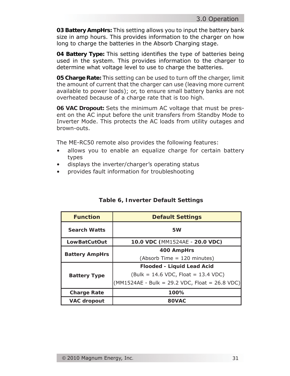**03 Battery AmpHrs:** This setting allows you to input the battery bank size in amp hours. This provides information to the charger on how long to charge the batteries in the Absorb Charging stage.

**04 Battery Type:** This setting identifies the type of batteries being used in the system. This provides information to the charger to determine what voltage level to use to charge the batteries.

**05 Charge Rate:** This setting can be used to turn off the charger, limit the amount of current that the charger can use (leaving more current available to power loads); or, to ensure small battery banks are not overheated because of a charge rate that is too high.

**06 VAC Dropout:** Sets the minimum AC voltage that must be present on the AC input before the unit transfers from Standby Mode to Inverter Mode. This protects the AC loads from utility outages and brown-outs.

The ME-RC50 remote also provides the following features:

- allows you to enable an equalize charge for certain battery types •
- displays the inverter/charger's operating status •
- provides fault information for troubleshooting •

| <b>Function</b>       | <b>Default Settings</b>                          |  |
|-----------------------|--------------------------------------------------|--|
| <b>Search Watts</b>   | 5W                                               |  |
| <b>LowBatCutOut</b>   | 10.0 VDC (MM1524AE - 20.0 VDC)                   |  |
| <b>Battery AmpHrs</b> | 400 AmpHrs                                       |  |
|                       | (Absorb Time = 120 minutes)                      |  |
|                       | <b>Flooded - Liquid Lead Acid</b>                |  |
| <b>Battery Type</b>   | $(Bulk = 14.6 VDC, Float = 13.4 VDC)$            |  |
|                       | $(MM1524AE - Bulk = 29.2 VDC, Float = 26.8 VDC)$ |  |
| <b>Charge Rate</b>    | 100%                                             |  |
| <b>VAC dropout</b>    | 80VAC                                            |  |

#### **Table 6, Inverter Default Settings**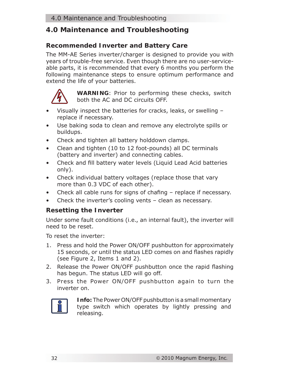# **4.0 Maintenance and Troubleshooting**

# **Recommended Inverter and Battery Care**

The MM-AE Series inverter/charger is designed to provide you with years of trouble-free service. Even though there are no user-serviceable parts, it is recommended that every 6 months you perform the following maintenance steps to ensure optimum performance and extend the life of your batteries.



**WARNING**: Prior to performing these checks, switch both the AC and DC circuits OFF.

- Visually inspect the batteries for cracks, leaks, or swelling replace if necessary.
- Use baking soda to clean and remove any electrolyte spills or buildups.
- Check and tighten all battery holddown clamps.
- Clean and tighten (10 to 12 foot-pounds) all DC terminals (battery and inverter) and connecting cables.
- Check and fill battery water levels (Liquid Lead Acid batteries only).
- Check individual battery voltages (replace those that vary more than 0.3 VDC of each other).
- Check all cable runs for signs of chafing  $-$  replace if necessary.
- Check the inverter's cooling vents clean as necessary.

# **Resetting the Inverter**

Under some fault conditions (i.e., an internal fault), the inverter will need to be reset.

To reset the inverter:

- 1. Press and hold the Power ON/OFF pushbutton for approximately 15 seconds, or until the status LED comes on and flashes rapidly (see Figure 2, Items 1 and 2).
- 2. Release the Power ON/OFF pushbutton once the rapid flashing has begun. The status LED will go off.
- 3. Press the Power ON/OFF pushbutton again to turn the inverter on.



**Info:** The Power ON/OFF pushbutton is a small *momentary* type switch which operates by lightly pressing and releasing.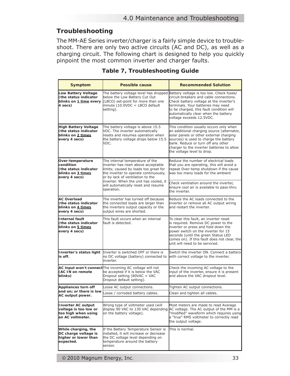# **Troubleshooting**

The MM-AE Series inverter/charger is a fairly simple device to troubleshoot. There are only two active circuits (AC and DC), as well as a charging circuit. The following chart is designed to help you quickly pinpoint the most common inverter and charger faults.

| <b>Symptom</b>                                                                                | <b>Possible cause</b>                                                                                                                                                                        | <b>Recommended Solution</b>                                                                                                                                                                                                                                                                                                |
|-----------------------------------------------------------------------------------------------|----------------------------------------------------------------------------------------------------------------------------------------------------------------------------------------------|----------------------------------------------------------------------------------------------------------------------------------------------------------------------------------------------------------------------------------------------------------------------------------------------------------------------------|
| Low Battery Voltage<br>(the status indicator<br>blinks on 1 time every<br>4 secs)             | below the Low Battery Cut Out<br>(LBCO) set-point for more than one<br>minute (10.0VDC = LBCO default<br>setting).                                                                           | The battery voltage level has dropped Battery voltage is too low. Check fuses/<br>circuit-breakers and cable connections.<br>Check battery voltage at the inverter's<br>terminals. Your batteries may need<br>to be charged, this fault condition will<br>automatically clear when the battery<br>voltage exceeds 12.5VDC. |
| <b>High Battery Voltage</b><br>(the status indicator<br>blinks on 2 times<br>every 4 secs)    | The battery voltage is above 15.5<br>VDC. The inverter automatically<br>resets and resumes operation when<br>the battery voltage drops below 15.5<br>VDC.                                    | This condition usually occurs only when<br>an additional charging source (alternator,<br>solar panels or other external charging<br>sources) is used to charge the battery<br>bank. Reduce or turn off any other<br>charger to the inverter batteries to allow<br>the voltage level to drop.                               |
| Over-temperature<br>condition<br>(the status indicator<br>blinks on 3 times<br>every 4 secs)  | The internal temperature of the<br>inverter has risen above acceptable<br>limits; caused by loads too great for<br>the inverter to operate continuously,<br>or by lack of ventilation to the | Reduce the number of electrical loads<br>that you are operating, this will avoid a<br>repeat Over-temp shutdown if the cause<br>was too many loads for the ambient                                                                                                                                                         |
|                                                                                               | inverter. When the unit has cooled, it<br>will automatically reset and resume<br>operation.                                                                                                  | Check ventilation around the inverter,<br>ensure cool air is available to pass-thru<br>the inverter.                                                                                                                                                                                                                       |
| <b>AC Overload</b><br>(the status indicator<br>blinks on 4 times<br>every 4 secs)             | The inverter has turned off because<br>the connected loads are larger than<br>the inverters output capacity or the<br>output wires are shorted.                                              | Reduce the AC loads connected to the<br>inverter or remove all AC output wiring<br>and restart the inverter.                                                                                                                                                                                                               |
| <b>Internal fault</b><br>(the status indicator<br>blinks on 5 times<br>every 4 secs)          | This fault occurs when an internal<br>fault is detected.                                                                                                                                     | To clear this fault, an inverter reset<br>is reguired. Remove DC power to the<br>inverter or press and hold down the<br>power switch on the inverter for 15<br>seconds (until the green Status LED<br>comes on). If this fault does not clear, the<br>lunit will need to be serviced.                                      |
| is off.                                                                                       | Inverter's status light Inverter is switched OFF or there is<br>no DC voltage (battery) connected to<br>linverter.                                                                           | Switch the inverter ON. Connect a battery<br>with correct voltage to the inverter.                                                                                                                                                                                                                                         |
| (AC IN on remote<br>blinks)                                                                   | AC input won't connect The incoming AC voltage will not<br>be accepted if it is below the VAC<br>Dropout setting (80VAC = VAC<br>Dropout default setting).                                   | Check the incoming AC voltage to the<br>input of the inverter, ensure it is present<br>and above the VAC dropout level.                                                                                                                                                                                                    |
| Appliances turn off                                                                           | Loose AC output connections.                                                                                                                                                                 | Tighten AC output connections.                                                                                                                                                                                                                                                                                             |
| and on: or there is low<br>AC output power.                                                   | Loose / corroded battery cables.                                                                                                                                                             | Clean and tighten all cables.                                                                                                                                                                                                                                                                                              |
|                                                                                               |                                                                                                                                                                                              |                                                                                                                                                                                                                                                                                                                            |
| <b>Inverter AC output</b><br>voltage is too low or<br>too high when using<br>an AC voltmeter. | Wrong type of voltmeter used (will<br>on the battery voltage).                                                                                                                               | Most meters are made to read Average<br>display 90 VAC to 130 VAC depending AC voltage. The AC output of the MM is a<br>"modified" waveform which requires using<br>a "true" RMS voltmeter to correctly read<br>the output voltage.                                                                                        |
| While charging, the<br>DC charge voltage is<br>higher or lower than<br>expected.              | If the Battery Temperature Sensor is<br>installed, it will increase or decrease<br>the DC voltage level depending on<br>temperature around the battery<br>sensor.                            | This is normal.                                                                                                                                                                                                                                                                                                            |

#### **Table 7, Troubleshooting Guide**

I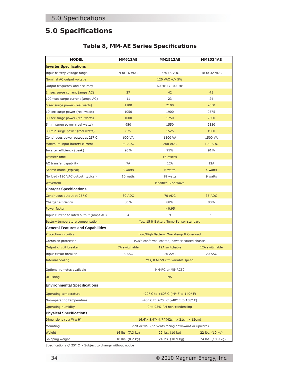# **5.0 Specifi cations**

## **Table 8, MM-AE Series Specifi cations**

| <b>MODEL</b>                             | <b>MM612AE</b>                                     | <b>MM1512AE</b>                                                | <b>MM1524AE</b>   |
|------------------------------------------|----------------------------------------------------|----------------------------------------------------------------|-------------------|
| <b>Inverter Specifications</b>           |                                                    |                                                                |                   |
| Input battery voltage range              | 9 to 16 VDC                                        | 9 to 16 VDC                                                    | 18 to 32 VDC      |
| Nominal AC output voltage                |                                                    | 120 VAC $+/- 5%$                                               |                   |
| Output frequency and accuracy            |                                                    | 60 Hz +/- $0.1$ Hz                                             |                   |
| 1msec surge current (amps AC)            | 27                                                 | 42                                                             | 45                |
| 100msec surge current (amps AC)          | 11                                                 | 23                                                             | 24                |
| 5 sec surge power (real watts)           | 1100                                               | 2100                                                           | 2650              |
| 10 sec surge power (real watts)          | 1050                                               | 1900                                                           | 2575              |
| 30 sec surge power (real watts)          | 1000                                               | 1750                                                           | 2500              |
| 5 min surge power (real watts)           | 950                                                | 1550                                                           | 2350              |
| 30 min surge power (real watts)          | 675                                                | 1525                                                           | 1900              |
| Continuous power output at 25° C         | 600 VA                                             | 1500 VA                                                        | 1500 VA           |
| Maximum input battery current            | 80 ADC                                             | <b>200 ADC</b>                                                 | <b>100 ADC</b>    |
| Inverter efficiency (peak)               | 95%                                                | 95%                                                            | 91%               |
| <b>Transfer time</b>                     |                                                    | 16 msecs                                                       |                   |
| AC transfer capability                   | 7A                                                 | 12A                                                            | 12A               |
| Search mode (typical)                    | 3 watts                                            | 6 watts                                                        | 4 watts           |
| No load (120 VAC output, typical)        | 10 watts                                           | 18 watts                                                       | 9 watts           |
| Waveform                                 | <b>Modified Sine Wave</b>                          |                                                                |                   |
| <b>Charger Specifications</b>            |                                                    |                                                                |                   |
| Continuous output at 25° C               | 30 ADC                                             | <b>70 ADC</b>                                                  | 35 ADC            |
| Charger efficiency                       | 85%                                                | 88%                                                            | 88%               |
| Power factor                             |                                                    | > 0.95                                                         |                   |
| Input current at rated output (amps AC)  | $\overline{4}$                                     | 9                                                              | 9                 |
| Battery temperature compensation         | Yes, 15 ft Battery Temp Sensor standard            |                                                                |                   |
| <b>General Features and Capabilities</b> |                                                    |                                                                |                   |
| Protection circuitry                     | Low/High Battery, Over-temp & Overload             |                                                                |                   |
| Corrosion protection                     | PCB's conformal coated, powder coated chassis      |                                                                |                   |
| Output circuit breaker                   | 7A switchable                                      | 12A switchable                                                 | 12A switchable    |
| Input circuit breaker                    | 8 AAC                                              | 20 AAC                                                         | 20 AAC            |
| Internal cooling                         | Yes, 0 to 59 cfm variable speed                    |                                                                |                   |
| Optional remotes available               | MM-RC or ME-RC50                                   |                                                                |                   |
| UL listing                               | <b>NA</b>                                          |                                                                |                   |
| Environmental Specifications             |                                                    |                                                                |                   |
| <b>Operating temperature</b>             |                                                    | $-20^{\circ}$ C to $+60^{\circ}$ C ( $-4^{\circ}$ F to 140° F) |                   |
| Non-operating temperature                | -40° C to +70° C (-40° F to 158° F)                |                                                                |                   |
| Operating humidity                       | 0 to 95% RH non-condensing                         |                                                                |                   |
| <b>Physical Specifications</b>           |                                                    |                                                                |                   |
| Dimensions (L x W x H)                   | 16.6"x 8.4"x 4.7" (42cm x 21cm x 12cm)             |                                                                |                   |
| Mounting                                 | Shelf or wall (no vents facing downward or upward) |                                                                |                   |
| Weight                                   | 16 lbs. (7.3 kg)                                   | 22 lbs. (10 kg)                                                | 22 lbs. (10 kg)   |
| Shipping weight                          | 18 lbs. (8.2 kg)                                   | 24 lbs. (10.9 kg)                                              | 24 lbs. (10.9 kg) |

Specifications @  $25^{\circ}$  C - Subject to change without notice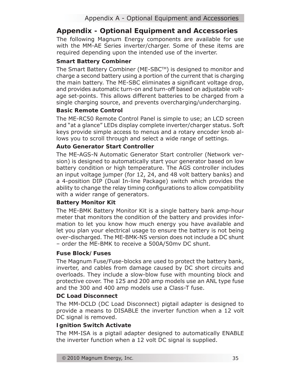# **Appendix - Optional Equipment and Accessories**

The following Magnum Energy components are available for use with the MM-AE Series inverter/charger. Some of these items are required depending upon the intended use of the inverter.

## **Smart Battery Combiner**

The Smart Battery Combiner (ME-SBC™) is designed to monitor and charge a second battery using a portion of the current that is charging the main battery. The ME-SBC eliminates a significant voltage drop, and provides automatic turn-on and turn-off based on adjustable voltage set-points. This allows different batteries to be charged from a single charging source, and prevents overcharging/undercharging.

## **Basic Remote Control**

The ME-RC50 Remote Control Panel is simple to use; an LCD screen and "at a glance" LEDs display complete inverter/charger status. Soft keys provide simple access to menus and a rotary encoder knob allows you to scroll through and select a wide range of settings.

#### **Auto Generator Start Controller**

The ME-AGS-N Automatic Generator Start controller (Network version) is designed to automatically start your generator based on low battery condition or high temperature. The AGS controller includes an input voltage jumper (for 12, 24, and 48 volt battery banks) and a 4-position DIP (Dual In-line Package) switch which provides the ability to change the relay timing configurations to allow compatibility with a wider range of generators.

#### **Battery Monitor Kit**

The ME-BMK Battery Monitor Kit is a single battery bank amp-hour meter that monitors the condition of the battery and provides information to let you know how much energy you have available and let you plan your electrical usage to ensure the battery is not being over-discharged. The ME-BMK-NS version does not include a DC shunt – order the ME-BMK to receive a 500A/50mv DC shunt.

#### **Fuse Block/Fuses**

The Magnum Fuse/Fuse-blocks are used to protect the battery bank, inverter, and cables from damage caused by DC short circuits and overloads. They include a slow-blow fuse with mounting block and protective cover. The 125 and 200 amp models use an ANL type fuse and the 300 and 400 amp models use a Class-T fuse.

#### **DC Load Disconnect**

The MM-DCLD (DC Load Disconnect) pigtail adapter is designed to provide a means to DISABLE the inverter function when a 12 volt DC signal is removed.

#### **Ignition Switch Activate**

The MM-ISA is a pigtail adapter designed to automatically ENABLE the inverter function when a 12 volt DC signal is supplied.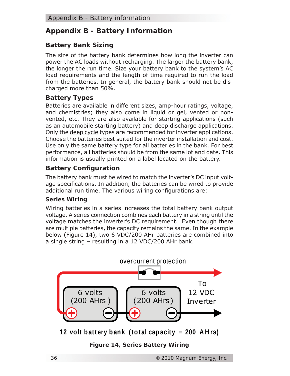# **Appendix B - Battery Information**

# **Battery Bank Sizing**

The size of the battery bank determines how long the inverter can power the AC loads without recharging. The larger the battery bank, the longer the run time. Size your battery bank to the system's AC load requirements and the length of time required to run the load from the batteries. In general, the battery bank should not be discharged more than 50%.

# **Battery Types**

Batteries are available in different sizes, amp-hour ratings, voltage, and chemistries; they also come in liquid or gel, vented or nonvented, etc. They are also available for starting applications (such as an automobile starting battery) and deep discharge applications. Only the deep cycle types are recommended for inverter applications. Choose the batteries best suited for the inverter installation and cost. Use only the same battery type for all batteries in the bank. For best performance, all batteries should be from the same lot and date. This information is usually printed on a label located on the battery.

# **Battery Configuration**

The battery bank must be wired to match the inverter's DC input voltage specifications. In addition, the batteries can be wired to provide additional run time. The various wiring configurations are:

#### **Series Wiring**

Wiring batteries in a series increases the total battery bank output voltage. A series connection combines each battery in a string until the voltage matches the inverter's DC requirement. Even though there are multiple batteries, the capacity remains the same. In the example below (Figure 14), two 6 VDC/200 AHr batteries are combined into a single string – resulting in a 12 VDC/200 AHr bank.



**12 volt battery bank (total capacity = 200 A H rs)**

*Figure 14, Series Battery Wiring*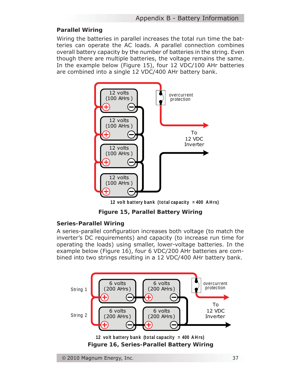#### **Parallel Wiring**

Wiring the batteries in parallel increases the total run time the batteries can operate the AC loads. A parallel connection combines overall battery capacity by the number of batteries in the string. Even though there are multiple batteries, the voltage remains the same. In the example below (Figure 15), four 12 VDC/100 AHr batteries are combined into a single 12 VDC/400 AHr battery bank.



*Figure 15, Parallel Battery Wiring*

#### **Series-Parallel Wiring**

A series-parallel configuration increases both voltage (to match the inverter's DC requirements) and capacity (to increase run time for operating the loads) using smaller, lower-voltage batteries. In the example below (Figure 16), four 6 VDC/200 AHr batteries are combined into two strings resulting in a 12 VDC/400 AHr battery bank.

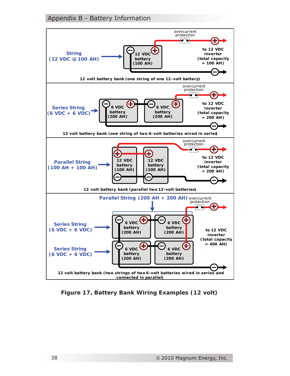#### Appendix B - Battery Information



*Figure 17, Battery Bank Wiring Examples (12 volt)*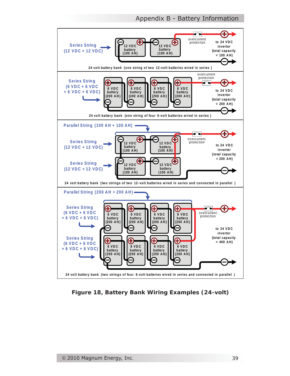Appendix B - Battery Information



*Figure 18, Battery Bank Wiring Examples (24-volt)*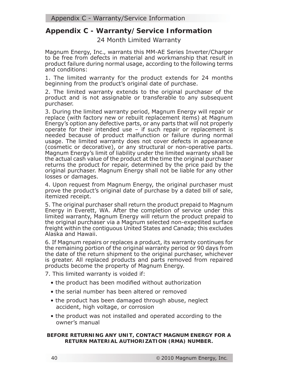# **Appendix C - Warranty/Service Information**

24 Month Limited Warranty

Magnum Energy, Inc., warrants this MM-AE Series Inverter/Charger to be free from defects in material and workmanship that result in product failure during normal usage, according to the following terms and conditions:

1. The limited warranty for the product extends for 24 months beginning from the product's original date of purchase.

2. The limited warranty extends to the original purchaser of the product and is not assignable or transferable to any subsequent purchaser.

3. During the limited warranty period, Magnum Energy will repair or replace (with factory new or rebuilt replacement items) at Magnum Energy's option any defective parts, or any parts that will not properly operate for their intended use – if such repair or replacement is needed because of product malfunction or failure during normal usage. The limited warranty does not cover defects in appearance (cosmetic or decorative), or any structural or non-operative parts. Magnum Energy's limit of liability under the limited warranty shall be the actual cash value of the product at the time the original purchaser returns the product for repair, determined by the price paid by the original purchaser. Magnum Energy shall not be liable for any other losses or damages.

4. Upon request from Magnum Energy, the original purchaser must prove the product's original date of purchase by a dated bill of sale, itemized receipt.

5. The original purchaser shall return the product prepaid to Magnum Energy in Everett, WA. After the completion of service under this limited warranty, Magnum Energy will return the product prepaid to the original purchaser via a Magnum selected non-expedited surface freight within the contiguous United States and Canada; this excludes Alaska and Hawaii.

6. If Magnum repairs or replaces a product, its warranty continues for the remaining portion of the original warranty period or 90 days from the date of the return shipment to the original purchaser, whichever is greater. All replaced products and parts removed from repaired products become the property of Magnum Energy.

7. This limited warranty is voided if:

- the product has been modified without authorization
- the serial number has been altered or removed
- the product has been damaged through abuse, neglect accident, high voltage, or corrosion
- the product was not installed and operated according to the owner's manual

**BEFORE RETURNING ANY UNIT, CONTACT MAGNUM ENERGY FOR A RETURN MATERIAL AUTHORIZATION (RMA) NUMBER.**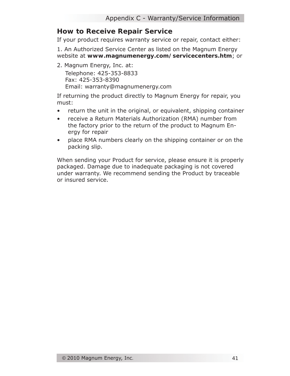# **How to Receive Repair Service**

If your product requires warranty service or repair, contact either:

1. An Authorized Service Center as listed on the Magnum Energy website at **www.magnumenergy.com/servicecenters.htm**; or

2. Magnum Energy, Inc. at: Telephone: 425-353-8833 Fax: 425-353-8390 Email: warranty@magnumenergy.com

If returning the product directly to Magnum Energy for repair, you must:

- return the unit in the original, or equivalent, shipping container  $\bullet$
- receive a Return Materials Authorization (RMA) number from the factory prior to the return of the product to Magnum Energy for repair •
- place RMA numbers clearly on the shipping container or on the packing slip.  $\bullet$

When sending your Product for service, please ensure it is properly packaged. Damage due to inadequate packaging is not covered under warranty. We recommend sending the Product by traceable or insured service.